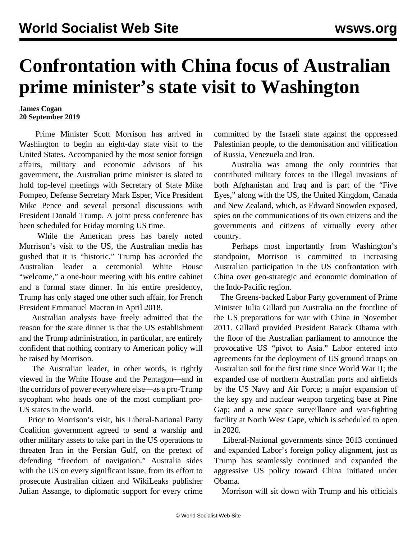## **Confrontation with China focus of Australian prime minister's state visit to Washington**

## **James Cogan 20 September 2019**

 Prime Minister Scott Morrison has arrived in Washington to begin an eight-day state visit to the United States. Accompanied by the most senior foreign affairs, military and economic advisors of his government, the Australian prime minister is slated to hold top-level meetings with Secretary of State Mike Pompeo, Defense Secretary Mark Esper, Vice President Mike Pence and several personal discussions with President Donald Trump. A joint press conference has been scheduled for Friday morning US time.

 While the American press has barely noted Morrison's visit to the US, the Australian media has gushed that it is "historic." Trump has accorded the Australian leader a ceremonial White House "welcome," a one-hour meeting with his entire cabinet and a formal state dinner. In his entire presidency, Trump has only staged one other such affair, for French President Emmanuel Macron in April 2018.

 Australian analysts have freely admitted that the reason for the state dinner is that the US establishment and the Trump administration, in particular, are entirely confident that nothing contrary to American policy will be raised by Morrison.

 The Australian leader, in other words, is rightly viewed in the White House and the Pentagon—and in the corridors of power everywhere else—as a pro-Trump sycophant who heads one of the most compliant pro-US states in the world.

 Prior to Morrison's visit, his Liberal-National Party Coalition government agreed to send a warship and other military assets to take part in the US operations to threaten Iran in the Persian Gulf, on the pretext of defending "freedom of navigation." Australia sides with the US on every significant issue, from its effort to prosecute Australian citizen and WikiLeaks publisher [Julian Assange](/en/articles/2019/09/20/assa-s20.html), to diplomatic support for every crime

committed by the Israeli state against the oppressed Palestinian people, to the demonisation and vilification of Russia, Venezuela and Iran.

 Australia was among the only countries that contributed military forces to the illegal invasions of both Afghanistan and Iraq and is part of the "Five Eyes," along with the US, the United Kingdom, Canada and New Zealand, which, as Edward Snowden exposed, spies on the communications of its own citizens and the governments and citizens of virtually every other country.

 Perhaps most importantly from Washington's standpoint, Morrison is committed to increasing Australian participation in the US confrontation with China over geo-strategic and economic domination of the Indo-Pacific region.

 The Greens-backed Labor Party government of Prime Minister Julia Gillard put Australia on the frontline of the US preparations for war with China in November 2011. Gillard provided President Barack Obama with the floor of the Australian parliament to announce the provocative US "pivot to Asia." Labor entered into agreements for the deployment of US ground troops on Australian soil for the first time since World War II; the expanded use of northern Australian ports and airfields by the US Navy and Air Force; a major expansion of the key spy and nuclear weapon targeting base at Pine Gap; and a new space surveillance and war-fighting facility at North West Cape, which is scheduled to open in 2020.

 Liberal-National governments since 2013 continued and expanded Labor's foreign policy alignment, just as Trump has seamlessly continued and expanded the aggressive US policy toward China initiated under Obama.

Morrison will sit down with Trump and his officials